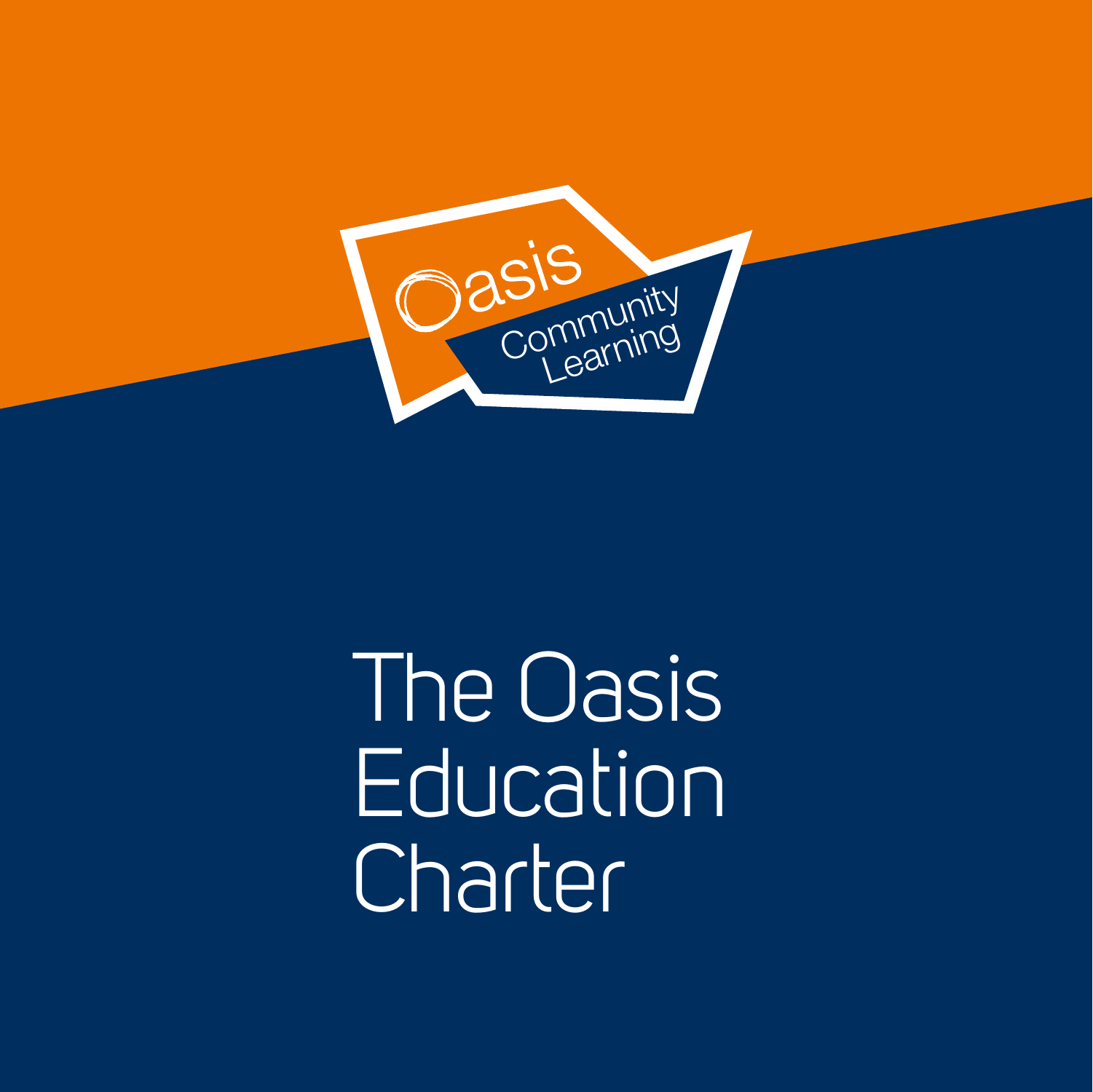

The Oasis Education **Charter**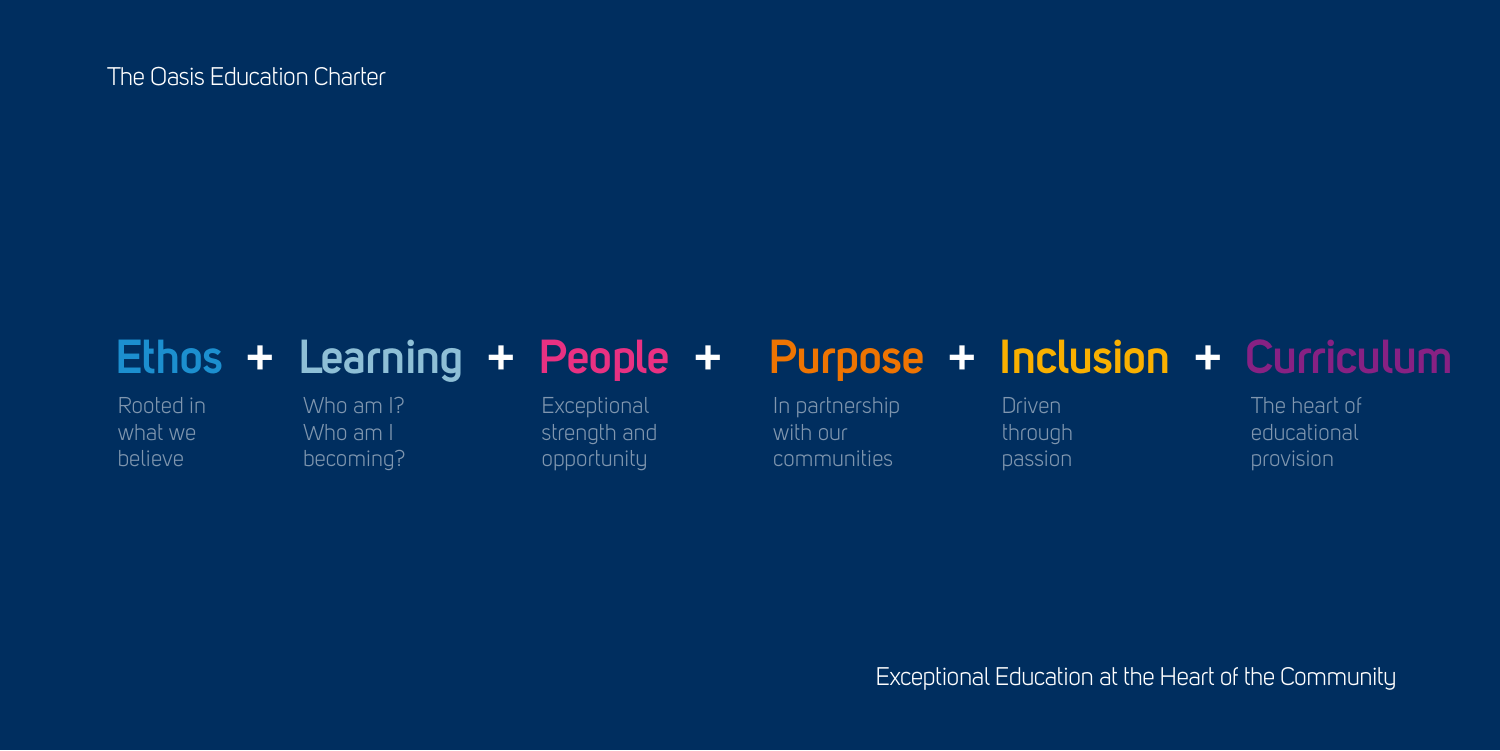## **Ethos + Learning + People + Purpose + Inclusion + Curriculum**

Rooted in what we believe

In partnership with our communities

**Exceptional** strength and opportunity

Who am I? Who am I becoming?

Driven through passion

The heart of educational provision

The Oasis Education Charter

Exceptional Education at the Heart of the Community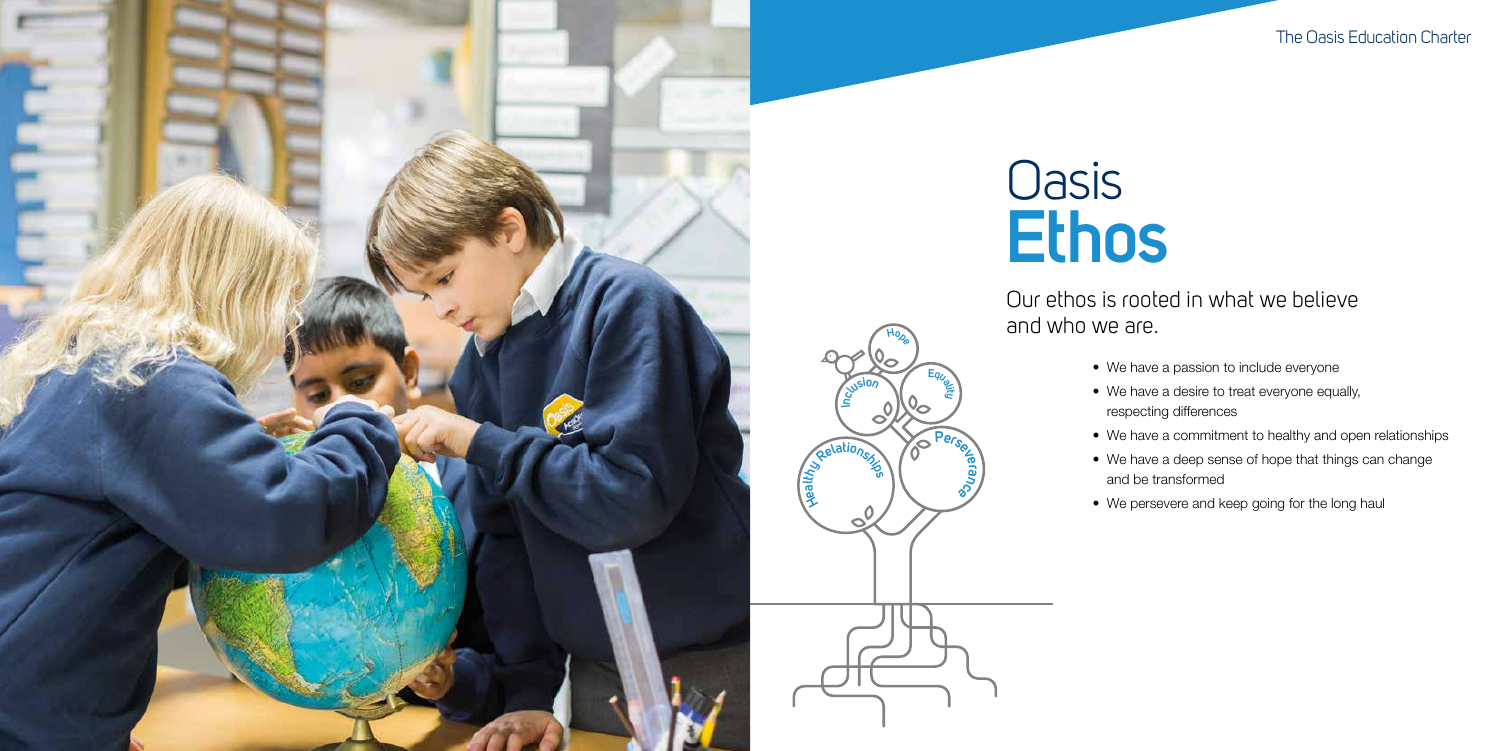**<sup>H</sup>op<sup>e</sup>**

**n<sup>I</sup> <sup>c</sup>lusio<sup>n</sup>**

- 
- 
- 
- 
- 

**<sup>E</sup>qua<sup>l</sup>i<sup>t</sup><sup>y</sup>**

Ō

**<sup>P</sup>erseve**

**ra nce**

## **Oasis Ethos**



The Oasis Education Charter

## Our ethos is rooted in what we believe

and who we are.

- We have a passion to include everyone
- We have a desire to treat everyone equally,
- respecting differences
- We have a commitment to healthy and open relationships
- We have a deep sense of hope that things can change and be transformed
- We persevere and keep going for the long haul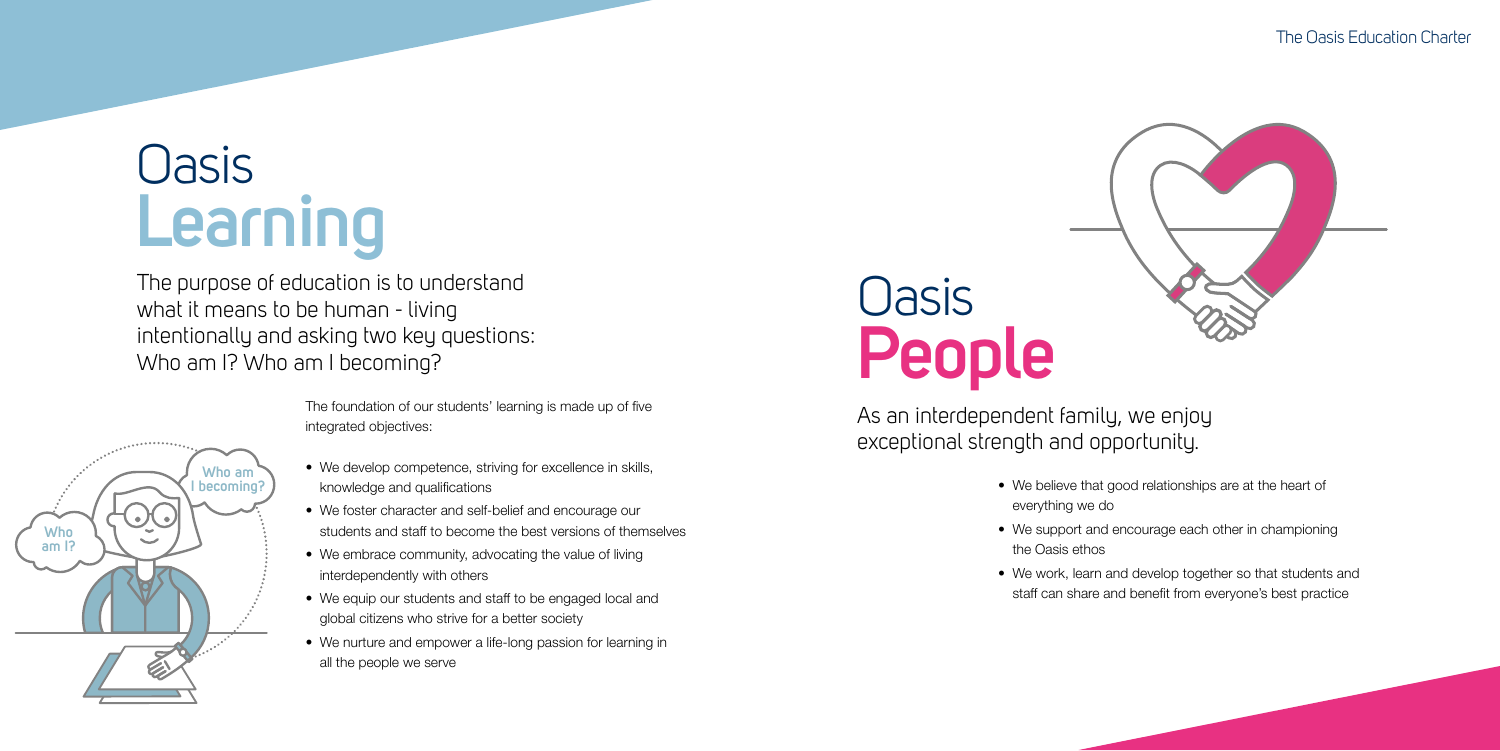### The Oasis Education Charter



The foundation of our students' learning is made up of five integrated objectives:

## **Oasis Learning**

- We develop competence, striving for excellence in skills, knowledge and qualifications
- We foster character and self-belief and encourage our students and staff to become the best versions of themselves
- We embrace community, advocating the value of living interdependently with others
- We equip our students and staff to be engaged local and global citizens who strive for a better society
- We nurture and empower a life-long passion for learning in all the people we serve

# **Oasis People**

The purpose of education is to understand what it means to be human - living intentionally and asking two key questions: Who am I? Who am I becoming?



• We believe that good relationships are at the heart of

- everything we do
- the Oasis ethos
- 

• We support and encourage each other in championing

• We work, learn and develop together so that students and staff can share and benefit from everyone's best practice

As an interdependent family, we enjoy exceptional strength and opportunity.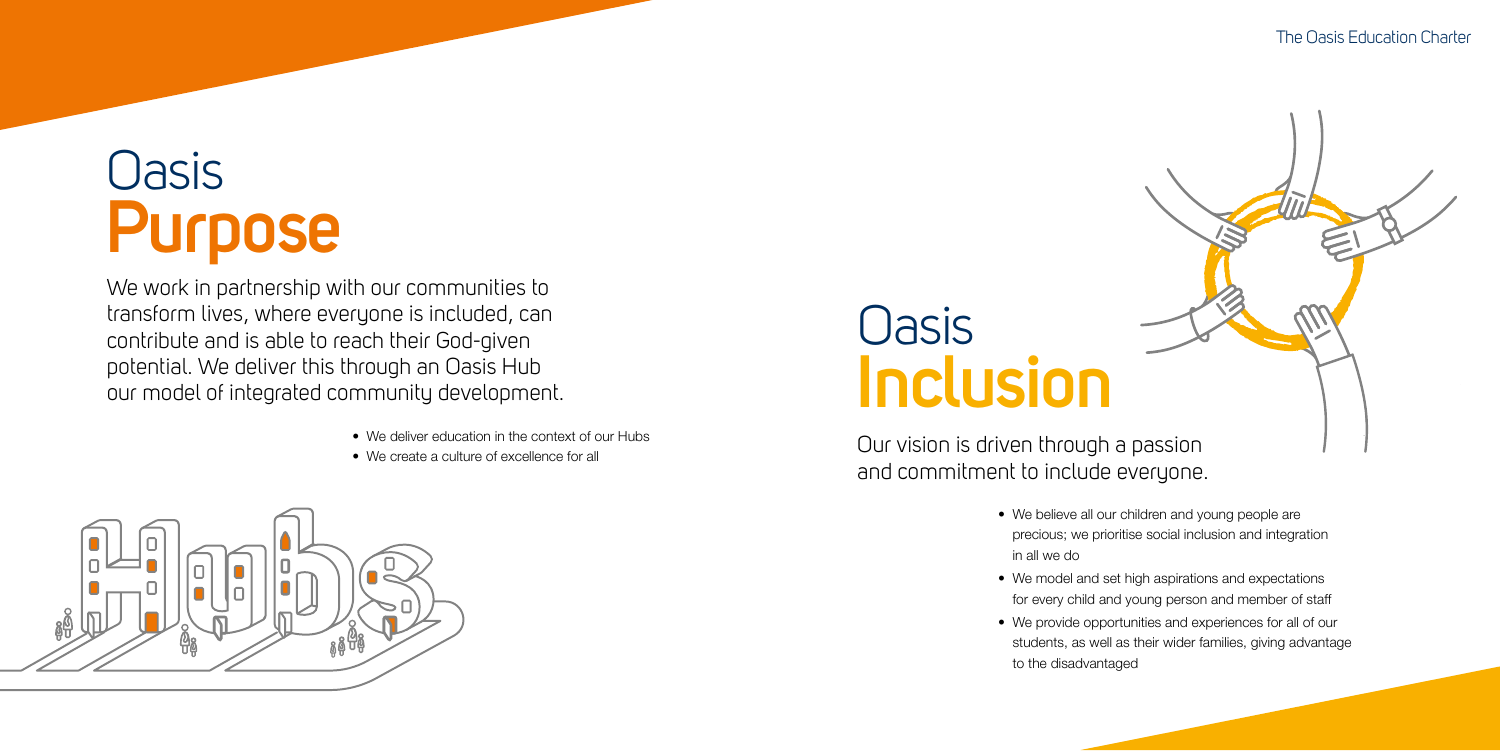### The Oasis Education Charter



# **Oasis Purpose**

- We deliver education in the context of our Hubs
- We create a culture of excellence for all



We work in partnership with our communities to transform lives, where everyone is included, can contribute and is able to reach their God-given potential. We deliver this through an Oasis Hub our model of integrated community development.

## **Oasis Inclusion**

- We believe all our children and young people are precious; we prioritise social inclusion and integration in all we do
- We model and set high aspirations and expectations for every child and young person and member of staff • We provide opportunities and experiences for all of our students, as well as their wider families, giving advantage
- to the disadvantaged

Our vision is driven through a passion and commitment to include everyone.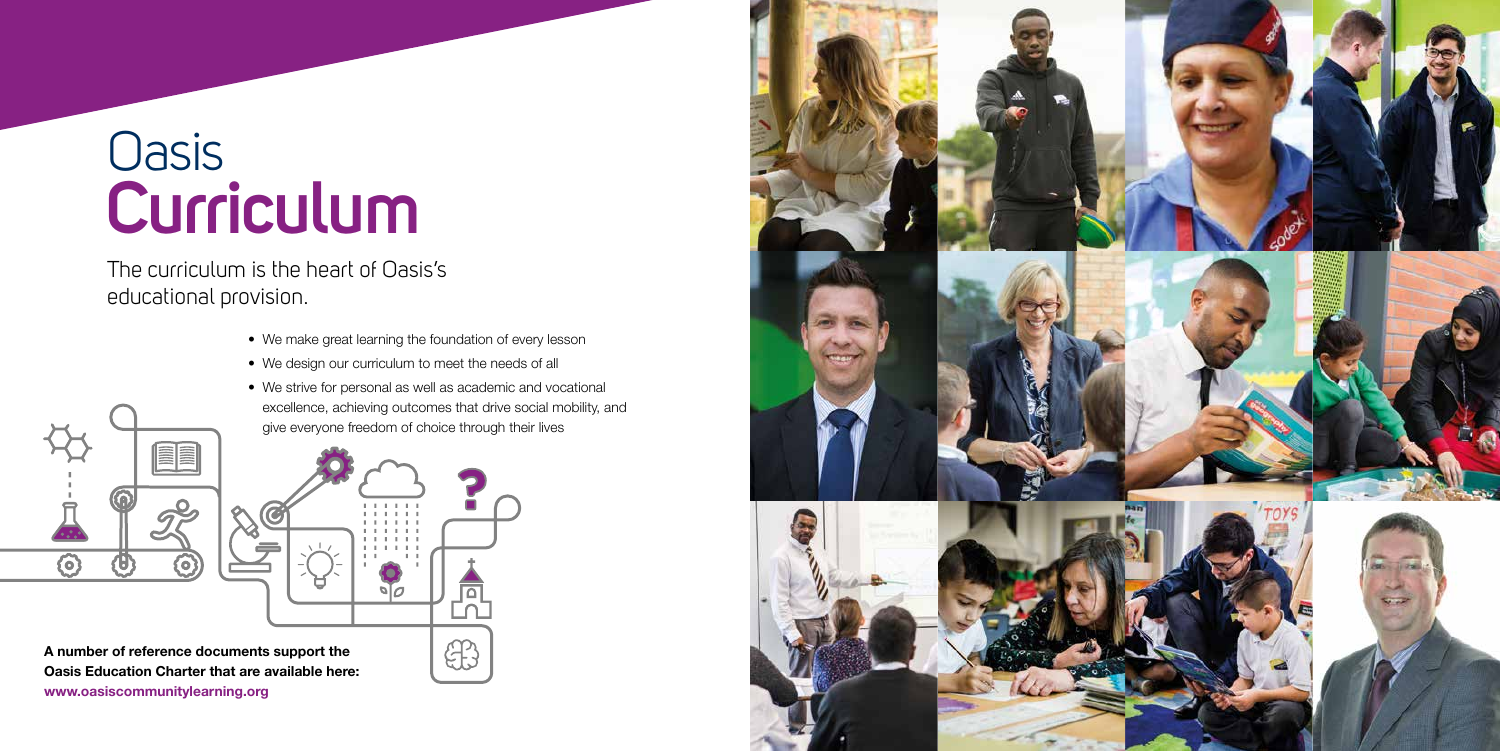- We make great learning the foundation of every lesson
- We design our curriculum to meet the needs of all
- We strive for personal as well as academic and vocational excellence, achieving outcomes that drive social mobility, and give everyone freedom of choice through their lives



## Oasis **Curriculum**

The curriculum is the heart of Oasis's educational provision.

**A number of reference documents support the Oasis Education Charter that are available here: www.oasiscommunitylearning.org**

 $\overline{\text{O}}$ 

U